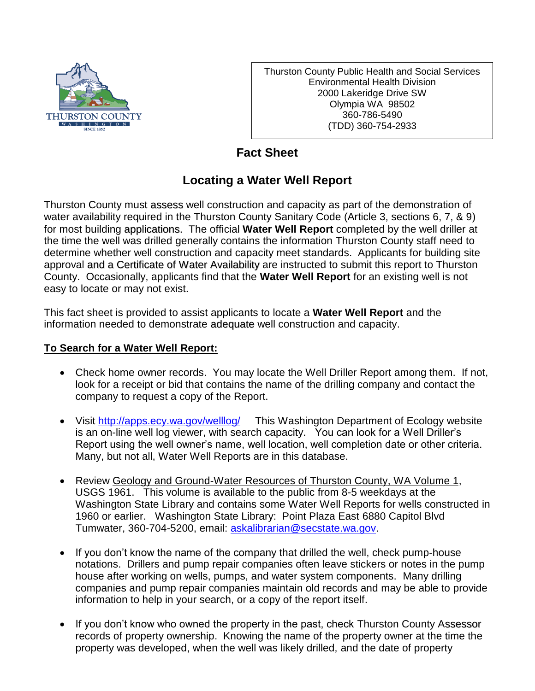

Thurston County Public Health and Social Services Environmental Health Division 2000 Lakeridge Drive SW Olympia WA 98502 360-786-5490 (TDD) 360-754-2933

## **Fact Sheet**

## **Locating a Water Well Report**

Thurston County must assess well construction and capacity as part of the demonstration of water availability required in the Thurston County Sanitary Code (Article 3, sections 6, 7, & 9) for most building applications. The official **Water Well Report** completed by the well driller at the time the well was drilled generally contains the information Thurston County staff need to determine whether well construction and capacity meet standards. Applicants for building site approval and a Certificate of Water Availability are instructed to submit this report to Thurston County. Occasionally, applicants find that the **Water Well Report** for an existing well is not easy to locate or may not exist.

This fact sheet is provided to assist applicants to locate a **Water Well Report** and the information needed to demonstrate adequate well construction and capacity.

## **To Search for a Water Well Report:**

- Check home owner records. You may locate the Well Driller Report among them. If not, look for a receipt or bid that contains the name of the drilling company and contact the company to request a copy of the Report.
- Visit<http://apps.ecy.wa.gov/welllog/>This Washington Department of Ecology website is an on-line well log viewer, with search capacity. You can look for a Well Driller's Report using the well owner's name, well location, well completion date or other criteria. Many, but not all, Water Well Reports are in this database.
- Review Geology and Ground-Water Resources of Thurston County, WA Volume 1, USGS 1961. This volume is available to the public from 8-5 weekdays at the Washington State Library and contains some Water Well Reports for wells constructed in 1960 or earlier. Washington State Library: Point Plaza East 6880 Capitol Blvd Tumwater, 360-704-5200, email: [askalibrarian@secstate.wa.gov.](mailto:askalibrarian@secstate.wa.gov)
- If you don't know the name of the company that drilled the well, check pump-house notations. Drillers and pump repair companies often leave stickers or notes in the pump house after working on wells, pumps, and water system components. Many drilling companies and pump repair companies maintain old records and may be able to provide information to help in your search, or a copy of the report itself.
- If you don't know who owned the property in the past, check Thurston County Assessor records of property ownership. Knowing the name of the property owner at the time the property was developed, when the well was likely drilled, and the date of property